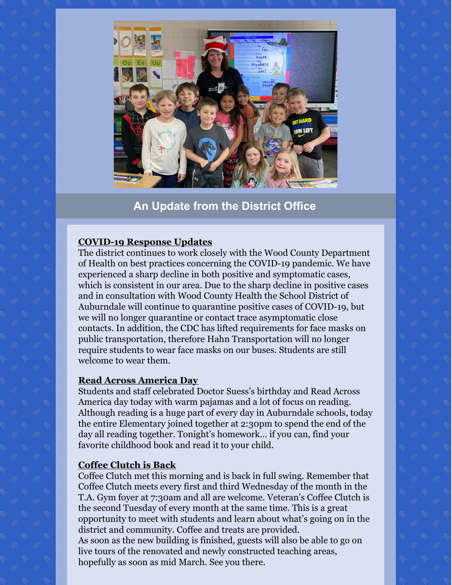

**An Update from the District Office**

# **COVID-19 Response Updates**

The district continues to work closely with the Wood County Department of Health on best practices concerning the COVID-19 pandemic. We have experienced a sharp decline in both positive and symptomatic cases, which is consistent in our area. Due to the sharp decline in positive cases and in consultation with Wood County Health the School District of Auburndale will continue to quarantine positive cases of COVID-19, but we will no longer quarantine or contact trace asymptomatic close contacts. In addition, the CDC has lifted requirements for face masks on public transportation, therefore Hahn Transportation will no longer require students to wear face masks on our buses. Students are still welcome to wear them.

#### **Read Across America Day**

Students and staff celebrated Doctor Suess's birthday and Read Across America day today with warm pajamas and a lot of focus on reading. Although reading is a huge part of every day in Auburndale schools, today the entire Elementary joined together at 2:30pm to spend the end of the day all reading together. Tonight's homework… if you can, find your favorite childhood book and read it to your child.

# **Coffee Clutch is Back**

Coffee Clutch met this morning and is back in full swing. Remember that Coffee Clutch meets every first and third Wednesday of the month in the T.A. Gym foyer at 7:30am and all are welcome. Veteran's Coffee Clutch is the second Tuesday of every month at the same time. This is a great opportunity to meet with students and learn about what's going on in the district and community. Coffee and treats are provided. As soon as the new building is finished, guests will also be able to go on live tours of the renovated and newly constructed teaching areas, hopefully as soon as mid March. See you there.